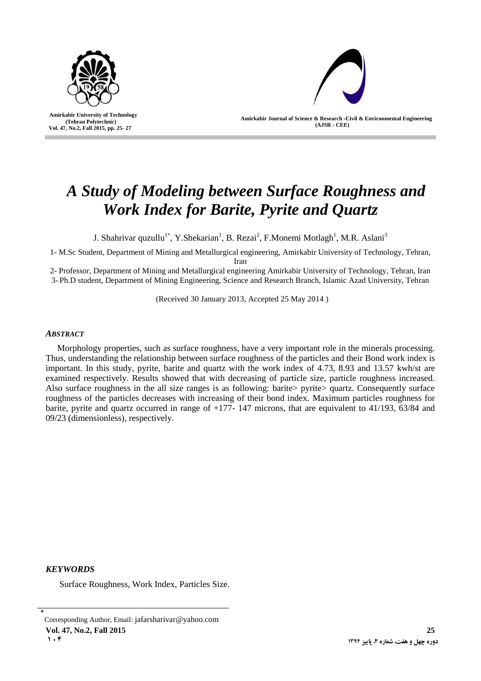

 **Amirkabir University of Technology (Tehran Polytechnic) Vol. 47, No.2, Fall 2015, pp. 25- 27**

l



**Amirkabir Journal of Science & Research -Civil & Environmental Engineering (AJSR - CEE)**

# *A Study of Modeling between Surface Roughness and Work Index for Barite, Pyrite and Quartz*

J. Shahrivar quzullu<sup>1\*</sup>, Y.Shekarian<sup>1</sup>, B. Rezai<sup>2</sup>, F.Monemi Motlagh<sup>1</sup>, M.R. Aslani<sup>3</sup>

1- M.Sc Student, Department of Mining and Metallurgical engineering, Amirkabir University of Technology, Tehran,

Iran

2- Professor, Department of Mining and Metallurgical engineering Amirkabir University of Technology, Tehran, Iran 3- Ph.D student, Department of Mining Engineering, Science and Research Branch, Islamic Azad University, Tehran

(Received 30 January 2013, Accepted 25 May 2014 )

## *ABSTRACT*

Morphology properties, such as surface roughness, have a very important role in the minerals processing. Thus, understanding the relationship between surface roughness of the particles and their Bond work index is important. In this study, pyrite, barite and quartz with the work index of 4.73, 8.93 and 13.57 kwh/st are examined respectively. Results showed that with decreasing of particle size, particle roughness increased. Also surface roughness in the all size ranges is as following: barite> pyrite> quartz. Consequently surface roughness of the particles decreases with increasing of their bond index. Maximum particles roughness for barite, pyrite and quartz occurred in range of +177- 147 microns, that are equivalent to 41/193, 63/84 and 09/23 (dimensionless), respectively.

*KEYWORDS*

Surface Roughness, Work Index, Particles Size.

<sup>٭</sup> Corresponding Author, Email: jafarsharivar@yahoo.com **Vol. 47, No.2, Fall 2015 25**  $\mathbf{1} \cdot \mathbf{P}$  **1148 1159 1159 1159 1159 1159 1159 1159 1159 1159 1159 1159 1159 1159 1159 1159 1159 1159 1159 1159 1159 1159 1159 1159 1159 1159 1159 1159 1159**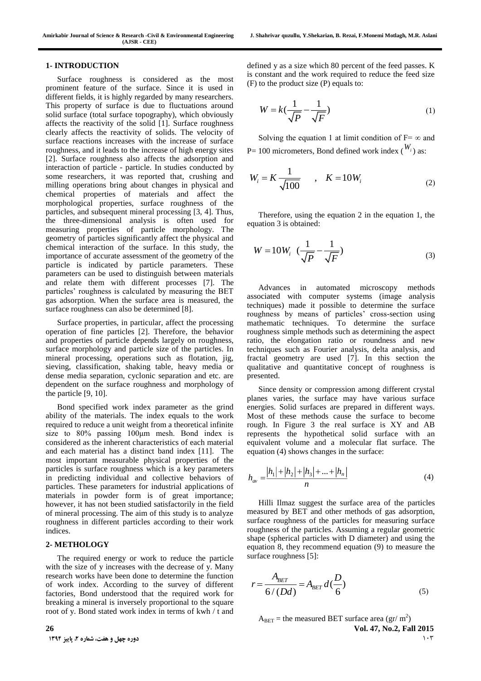### **1- INTRODUCTION**

Surface roughness is considered as the most prominent feature of the surface. Since it is used in different fields, it is highly regarded by many researchers. This property of surface is due to fluctuations around solid surface (total surface topography), which obviously affects the reactivity of the solid [1]. Surface roughness clearly affects the reactivity of solids. The velocity of surface reactions increases with the increase of surface roughness, and it leads to the increase of high energy sites [2]. Surface roughness also affects the adsorption and interaction of particle - particle. In studies conducted by some researchers, it was reported that, crushing and milling operations bring about changes in physical and chemical properties of materials and affect the morphological properties, surface roughness of the particles, and subsequent mineral processing [3, 4]. Thus, the three-dimensional analysis is often used for measuring properties of particle morphology. The geometry of particles significantly affect the physical and chemical interaction of the surface. In this study, the importance of accurate assessment of the geometry of the particle is indicated by particle parameters. These parameters can be used to distinguish between materials and relate them with different processes [7]. The particles' roughness is calculated by measuring the BET gas adsorption. When the surface area is measured, the surface roughness can also be determined [8].

Surface properties, in particular, affect the processing operation of fine particles [2]. Therefore, the behavior and properties of particle depends largely on roughness, surface morphology and particle size of the particles. In mineral processing, operations such as flotation, jig, sieving, classification, shaking table, heavy media or dense media separation, cyclonic separation and etc. are dependent on the surface roughness and morphology of the particle [9, 10].

Bond specified work index parameter as the grind ability of the materials. The index equals to the work required to reduce a unit weight from a theoretical infinite size to 80% passing 100<sub>um</sub> mesh. Bond index is considered as the inherent characteristics of each material and each material has a distinct band index [11]. The most important measurable physical properties of the particles is surface roughness which is a key parameters in predicting individual and collective behaviors of particles. These parameters for industrial applications of materials in powder form is of great importance; however, it has not been studied satisfactorily in the field of mineral processing. The aim of this study is to analyze roughness in different particles according to their work indices.

#### **2- METHOLOGY**

The required energy or work to reduce the particle with the size of y increases with the decrease of y. Many research works have been done to determine the function of work index. According to the survey of different factories, Bond understood that the required work for breaking a mineral is inversely proportional to the square root of y. Bond stated work index in terms of kwh / t and defined y as a size which 80 percent of the feed passes. K is constant and the work required to reduce the feed size (F) to the product size (P) equals to:

$$
W = k\left(\frac{1}{\sqrt{P}} - \frac{1}{\sqrt{F}}\right) \tag{1}
$$

Solving the equation 1 at limit condition of  $F = \infty$  and P= 100 micrometers, Bond defined work index  $(W_i)$  as:

$$
W_i = K \frac{1}{\sqrt{100}} \qquad , \quad K = 10W_i \tag{2}
$$

Therefore, using the equation 2 in the equation 1, the equation 3 is obtained:

$$
W = 10W_i \ \ (\frac{1}{\sqrt{P}} - \frac{1}{\sqrt{F}})
$$
 (3)

Advances in automated microscopy methods associated with computer systems (image analysis techniques) made it possible to determine the surface roughness by means of particles' cross-section using mathematic techniques. To determine the surface roughness simple methods such as determining the aspect ratio, the elongation ratio or roundness and new techniques such as Fourier analysis, delta analysis, and fractal geometry are used [7]. In this section the qualitative and quantitative concept of roughness is presented.

Since density or compression among different crystal planes varies, the surface may have various surface energies. Solid surfaces are prepared in different ways. Most of these methods cause the surface to become rough. In Figure 3 the real surface is XY and AB represents the hypothetical solid surface with an equivalent volume and a molecular flat surface. The equation (4) shows changes in the surface:

$$
h_{av} = \frac{|h_1| + |h_2| + |h_3| + \dots + |h_n|}{n} \tag{4}
$$

Hilli Ilmaz suggest the surface area of the particles measured by BET and other methods of gas adsorption, surface roughness of the particles for measuring surface roughness of the particles. Assuming a regular geometric shape (spherical particles with D diameter) and using the equation 8, they recommend equation (9) to measure the surface roughness [5]:

$$
r = \frac{A_{BET}}{6/(Dd)} = A_{BET} d(\frac{D}{6})
$$
\n<sup>(5)</sup>

**26 Vol. 47, No.2, Fall 2015**  $A_{\text{BET}}$  = the measured BET surface area (gr/ m<sup>2</sup>)

 $\mathcal{O}$  1.1  $\mathcal{O}$  1.1  $\mathcal{O}$  1.1  $\mathcal{O}$  1.1  $\mathcal{O}$  1.1  $\mathcal{O}$  1.1  $\mathcal{O}$  1.1  $\mathcal{O}$  1.1  $\mathcal{O}$  1.1  $\mathcal{O}$  1.1  $\mathcal{O}$  1.1  $\mathcal{O}$  1.1  $\mathcal{O}$  1.1  $\mathcal{O}$  1.1  $\mathcal{O}$  1.1  $\mathcal{O}$  1.1  $\mathcal{O}$  1.1